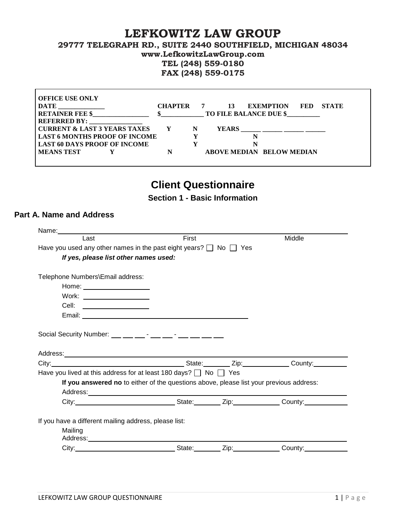### **LEFKOWITZ LAW GROUP**

**29777 TELEGRAPH RD., SUITE 2440 SOUTHFIELD, MICHIGAN 48034**

**www.LefkowitzLawGroup.com**

**TEL (248) 559-0180**

**FAX (248) 559-0175**

| <b>OFFICE USE ONLY</b>                    |                |   |                                                      |
|-------------------------------------------|----------------|---|------------------------------------------------------|
| <b>DATE</b>                               | <b>CHAPTER</b> |   | <b>STATE</b><br>EXEMPTION<br><b>13</b><br><b>FED</b> |
| RETAINER FEE \$ \$ TO FILE BALANCE DUE \$ |                |   |                                                      |
| REFERRED BY: __________                   |                |   |                                                      |
| <b>CURRENT &amp; LAST 3 YEARS TAXES</b>   | $\mathbf{Y}$   | N | <b>YEARS</b>                                         |
| <b>LAST 6 MONTHS PROOF OF INCOME</b>      |                |   |                                                      |
| LAST 60 DAYS PROOF OF INCOME              |                |   |                                                      |
| <b>MEANS TEST</b>                         | N              |   | <b>ABOVE MEDIAN BELOW MEDIAN</b>                     |
|                                           |                |   |                                                      |

# **Client Questionnaire**

**Section 1 - Basic Information**

#### **Part A. Name and Address**

| Name: 1997                                                                                                                                                                                                                                                                                                     |                                                                                         |                                             |
|----------------------------------------------------------------------------------------------------------------------------------------------------------------------------------------------------------------------------------------------------------------------------------------------------------------|-----------------------------------------------------------------------------------------|---------------------------------------------|
| Last                                                                                                                                                                                                                                                                                                           | First                                                                                   | Middle                                      |
| Have you used any other names in the past eight years? $\Box$ No $\Box$ Yes                                                                                                                                                                                                                                    |                                                                                         |                                             |
| If yes, please list other names used:                                                                                                                                                                                                                                                                          |                                                                                         |                                             |
|                                                                                                                                                                                                                                                                                                                |                                                                                         |                                             |
| Telephone Numbers\Email address:                                                                                                                                                                                                                                                                               |                                                                                         |                                             |
| Home: ________________________                                                                                                                                                                                                                                                                                 |                                                                                         |                                             |
| Work: ______________________                                                                                                                                                                                                                                                                                   |                                                                                         |                                             |
|                                                                                                                                                                                                                                                                                                                |                                                                                         |                                             |
|                                                                                                                                                                                                                                                                                                                |                                                                                         |                                             |
|                                                                                                                                                                                                                                                                                                                |                                                                                         |                                             |
| Social Security Number: $\frac{1}{1}$ $\frac{1}{1}$ $\frac{1}{1}$ $\frac{1}{1}$ $\frac{1}{1}$ $\frac{1}{1}$ $\frac{1}{1}$ $\frac{1}{1}$ $\frac{1}{1}$ $\frac{1}{1}$ $\frac{1}{1}$ $\frac{1}{1}$ $\frac{1}{1}$ $\frac{1}{1}$ $\frac{1}{1}$ $\frac{1}{1}$ $\frac{1}{1}$ $\frac{1}{1}$ $\frac{1}{1}$ $\frac{1}{1$ |                                                                                         |                                             |
|                                                                                                                                                                                                                                                                                                                |                                                                                         |                                             |
|                                                                                                                                                                                                                                                                                                                |                                                                                         |                                             |
|                                                                                                                                                                                                                                                                                                                |                                                                                         |                                             |
| Have you lived at this address for at least 180 days? $\Box$ No $\Box$ Yes                                                                                                                                                                                                                                     |                                                                                         |                                             |
|                                                                                                                                                                                                                                                                                                                | If you answered no to either of the questions above, please list your previous address: |                                             |
|                                                                                                                                                                                                                                                                                                                |                                                                                         |                                             |
|                                                                                                                                                                                                                                                                                                                |                                                                                         | City: City: County: County: County: County: |
|                                                                                                                                                                                                                                                                                                                |                                                                                         |                                             |
| If you have a different mailing address, please list:                                                                                                                                                                                                                                                          |                                                                                         |                                             |
| Mailing                                                                                                                                                                                                                                                                                                        |                                                                                         |                                             |
|                                                                                                                                                                                                                                                                                                                |                                                                                         |                                             |
|                                                                                                                                                                                                                                                                                                                |                                                                                         |                                             |
|                                                                                                                                                                                                                                                                                                                |                                                                                         |                                             |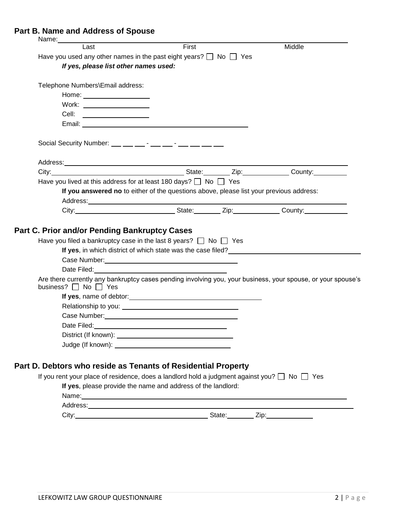### **Part B. Name and Address of Spouse**

| Last                                                                                                                                                                                                                                                                                                           | First | Middle |
|----------------------------------------------------------------------------------------------------------------------------------------------------------------------------------------------------------------------------------------------------------------------------------------------------------------|-------|--------|
| Have you used any other names in the past eight years? $\Box$ No $\Box$ Yes                                                                                                                                                                                                                                    |       |        |
| If yes, please list other names used:                                                                                                                                                                                                                                                                          |       |        |
| Telephone Numbers\Email address:                                                                                                                                                                                                                                                                               |       |        |
|                                                                                                                                                                                                                                                                                                                |       |        |
| Work: _______________________                                                                                                                                                                                                                                                                                  |       |        |
| Cell: _________________                                                                                                                                                                                                                                                                                        |       |        |
|                                                                                                                                                                                                                                                                                                                |       |        |
| Social Security Number: $\frac{1}{1}$ $\frac{1}{1}$ $\frac{1}{1}$ $\frac{1}{1}$ $\frac{1}{1}$ $\frac{1}{1}$ $\frac{1}{1}$ $\frac{1}{1}$ $\frac{1}{1}$ $\frac{1}{1}$ $\frac{1}{1}$ $\frac{1}{1}$ $\frac{1}{1}$ $\frac{1}{1}$ $\frac{1}{1}$ $\frac{1}{1}$ $\frac{1}{1}$ $\frac{1}{1}$ $\frac{1}{1}$ $\frac{1}{1$ |       |        |
|                                                                                                                                                                                                                                                                                                                |       |        |
| City: Cubic City: Cubic County: Cubic County: County: County: County:                                                                                                                                                                                                                                          |       |        |
| Have you lived at this address for at least 180 days? $\Box$ No $\Box$ Yes                                                                                                                                                                                                                                     |       |        |
| If you answered no to either of the questions above, please list your previous address:                                                                                                                                                                                                                        |       |        |
|                                                                                                                                                                                                                                                                                                                |       |        |
|                                                                                                                                                                                                                                                                                                                |       |        |
| City: Cubical City: City: Cubical County: County: County: County: County: County: County: County: County: County: County: County: County: County: County: County: County: County: County: County: County: County: County: Coun<br>Part C. Prior and/or Pending Bankruptcy Cases                                |       |        |
| Have you filed a bankruptcy case in the last 8 years? $\Box$ No $\Box$ Yes                                                                                                                                                                                                                                     |       |        |
|                                                                                                                                                                                                                                                                                                                |       |        |
|                                                                                                                                                                                                                                                                                                                |       |        |
|                                                                                                                                                                                                                                                                                                                |       |        |
| If yes, name of debtor: Note and the set of the set of the set of the set of the set of the set of the set of the set of the set of the set of the set of the set of the set of the set of the set of the set of the set of th                                                                                 |       |        |
| Are there currently any bankruptcy cases pending involving you, your business, your spouse, or your spouse's<br>business? $\Box$ No $\Box$ Yes                                                                                                                                                                 |       |        |
|                                                                                                                                                                                                                                                                                                                |       |        |
|                                                                                                                                                                                                                                                                                                                |       |        |
|                                                                                                                                                                                                                                                                                                                |       |        |
|                                                                                                                                                                                                                                                                                                                |       |        |
|                                                                                                                                                                                                                                                                                                                |       |        |
|                                                                                                                                                                                                                                                                                                                |       |        |
| Part D. Debtors who reside as Tenants of Residential Property<br>If you rent your place of residence, does a landlord hold a judgment against you? $\Box$ No $\Box$ Yes<br>If yes, please provide the name and address of the landlord:                                                                        |       |        |
|                                                                                                                                                                                                                                                                                                                |       |        |

City:State:Zip: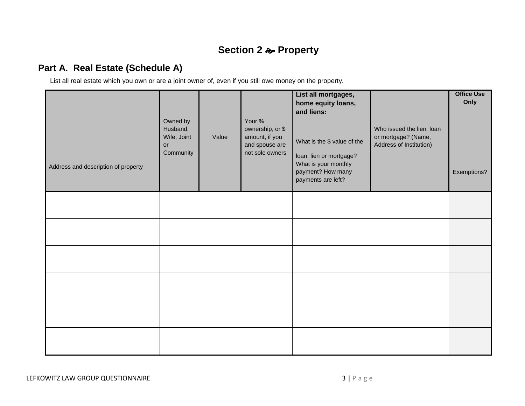# **Section 2 Property**

## **Part A. Real Estate (Schedule A)**

List all real estate which you own or are a joint owner of, even if you still owe money on the property.

| Address and description of property | Owned by<br>Husband,<br>Wife, Joint<br>or<br>Community | Value | Your %<br>ownership, or \$<br>amount, if you<br>and spouse are<br>not sole owners | List all mortgages,<br>home equity loans,<br>and liens:<br>What is the \$ value of the<br>loan, lien or mortgage?<br>What is your monthly<br>payment? How many<br>payments are left? | Who issued the lien, loan<br>or mortgage? (Name,<br>Address of Institution) | <b>Office Use</b><br>Only<br>Exemptions? |
|-------------------------------------|--------------------------------------------------------|-------|-----------------------------------------------------------------------------------|--------------------------------------------------------------------------------------------------------------------------------------------------------------------------------------|-----------------------------------------------------------------------------|------------------------------------------|
|                                     |                                                        |       |                                                                                   |                                                                                                                                                                                      |                                                                             |                                          |
|                                     |                                                        |       |                                                                                   |                                                                                                                                                                                      |                                                                             |                                          |
|                                     |                                                        |       |                                                                                   |                                                                                                                                                                                      |                                                                             |                                          |
|                                     |                                                        |       |                                                                                   |                                                                                                                                                                                      |                                                                             |                                          |
|                                     |                                                        |       |                                                                                   |                                                                                                                                                                                      |                                                                             |                                          |
|                                     |                                                        |       |                                                                                   |                                                                                                                                                                                      |                                                                             |                                          |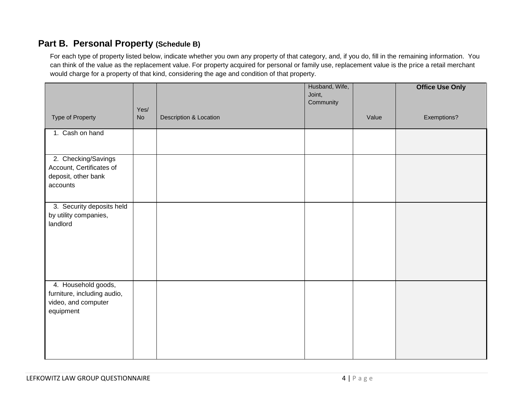### **Part B. Personal Property (Schedule B)**

For each type of property listed below, indicate whether you own any property of that category, and, if you do, fill in the remaining information. You can think of the value as the replacement value. For property acquired for personal or family use, replacement value is the price a retail merchant would charge for a property of that kind, considering the age and condition of that property.

|                                                                                        |           |                        | Husband, Wife,<br>Joint, |       | <b>Office Use Only</b> |
|----------------------------------------------------------------------------------------|-----------|------------------------|--------------------------|-------|------------------------|
|                                                                                        | Yes/      |                        | Community                |       |                        |
| Type of Property                                                                       | <b>No</b> | Description & Location |                          | Value | Exemptions?            |
| 1. Cash on hand                                                                        |           |                        |                          |       |                        |
| 2. Checking/Savings<br>Account, Certificates of<br>deposit, other bank<br>accounts     |           |                        |                          |       |                        |
| 3. Security deposits held<br>by utility companies,<br>landlord                         |           |                        |                          |       |                        |
| 4. Household goods,<br>furniture, including audio,<br>video, and computer<br>equipment |           |                        |                          |       |                        |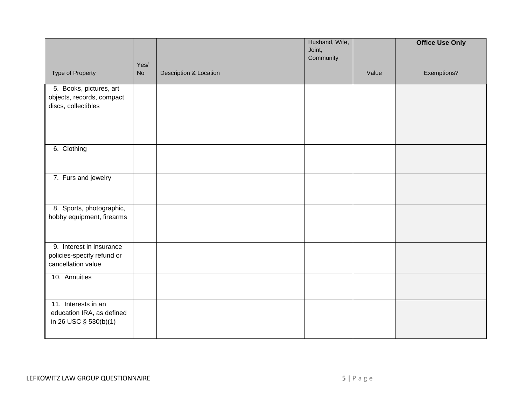|                                                        |                   |                        | Husband, Wife,<br>Joint, |       | <b>Office Use Only</b> |
|--------------------------------------------------------|-------------------|------------------------|--------------------------|-------|------------------------|
|                                                        | Yes/<br><b>No</b> |                        | Community                | Value |                        |
| <b>Type of Property</b>                                |                   | Description & Location |                          |       | Exemptions?            |
| 5. Books, pictures, art<br>objects, records, compact   |                   |                        |                          |       |                        |
| discs, collectibles                                    |                   |                        |                          |       |                        |
|                                                        |                   |                        |                          |       |                        |
|                                                        |                   |                        |                          |       |                        |
| 6. Clothing                                            |                   |                        |                          |       |                        |
|                                                        |                   |                        |                          |       |                        |
| 7. Furs and jewelry                                    |                   |                        |                          |       |                        |
|                                                        |                   |                        |                          |       |                        |
| 8. Sports, photographic,                               |                   |                        |                          |       |                        |
| hobby equipment, firearms                              |                   |                        |                          |       |                        |
|                                                        |                   |                        |                          |       |                        |
| 9. Interest in insurance<br>policies-specify refund or |                   |                        |                          |       |                        |
| cancellation value                                     |                   |                        |                          |       |                        |
| 10. Annuities                                          |                   |                        |                          |       |                        |
|                                                        |                   |                        |                          |       |                        |
| 11. Interests in an<br>education IRA, as defined       |                   |                        |                          |       |                        |
| in 26 USC § 530(b)(1)                                  |                   |                        |                          |       |                        |
|                                                        |                   |                        |                          |       |                        |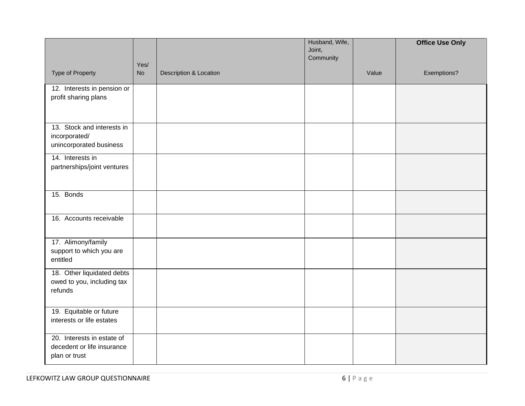|                                                                           |           |                                   | Husband, Wife,<br>Joint, |       | <b>Office Use Only</b> |
|---------------------------------------------------------------------------|-----------|-----------------------------------|--------------------------|-------|------------------------|
|                                                                           | Yes/      |                                   | Community                |       |                        |
| <b>Type of Property</b>                                                   | <b>No</b> | <b>Description &amp; Location</b> |                          | Value | Exemptions?            |
| 12. Interests in pension or<br>profit sharing plans                       |           |                                   |                          |       |                        |
| 13. Stock and interests in<br>incorporated/<br>unincorporated business    |           |                                   |                          |       |                        |
| 14. Interests in<br>partnerships/joint ventures                           |           |                                   |                          |       |                        |
| 15. Bonds                                                                 |           |                                   |                          |       |                        |
| 16. Accounts receivable                                                   |           |                                   |                          |       |                        |
| 17. Alimony/family<br>support to which you are<br>entitled                |           |                                   |                          |       |                        |
| 18. Other liquidated debts<br>owed to you, including tax<br>refunds       |           |                                   |                          |       |                        |
| 19. Equitable or future<br>interests or life estates                      |           |                                   |                          |       |                        |
| 20. Interests in estate of<br>decedent or life insurance<br>plan or trust |           |                                   |                          |       |                        |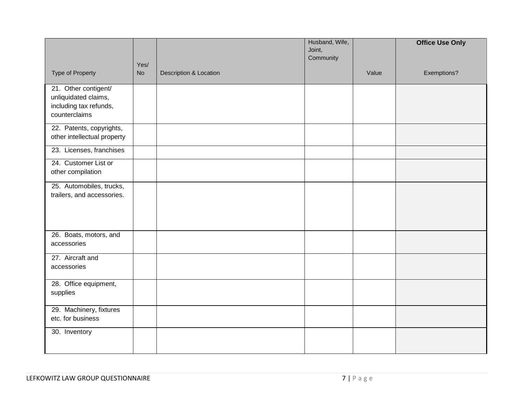|                                                                                         |           |                                   | Husband, Wife,<br>Joint, |       | <b>Office Use Only</b> |
|-----------------------------------------------------------------------------------------|-----------|-----------------------------------|--------------------------|-------|------------------------|
|                                                                                         | Yes/      |                                   | Community                |       |                        |
| Type of Property                                                                        | <b>No</b> | <b>Description &amp; Location</b> |                          | Value | Exemptions?            |
| 21. Other contigent/<br>unliquidated claims,<br>including tax refunds,<br>counterclaims |           |                                   |                          |       |                        |
| 22. Patents, copyrights,<br>other intellectual property                                 |           |                                   |                          |       |                        |
| 23. Licenses, franchises                                                                |           |                                   |                          |       |                        |
| 24. Customer List or<br>other compilation                                               |           |                                   |                          |       |                        |
| 25. Automobiles, trucks,<br>trailers, and accessories.                                  |           |                                   |                          |       |                        |
| 26. Boats, motors, and<br>accessories                                                   |           |                                   |                          |       |                        |
| 27. Aircraft and<br>accessories                                                         |           |                                   |                          |       |                        |
| 28. Office equipment,<br>supplies                                                       |           |                                   |                          |       |                        |
| 29. Machinery, fixtures<br>etc. for business                                            |           |                                   |                          |       |                        |
| 30. Inventory                                                                           |           |                                   |                          |       |                        |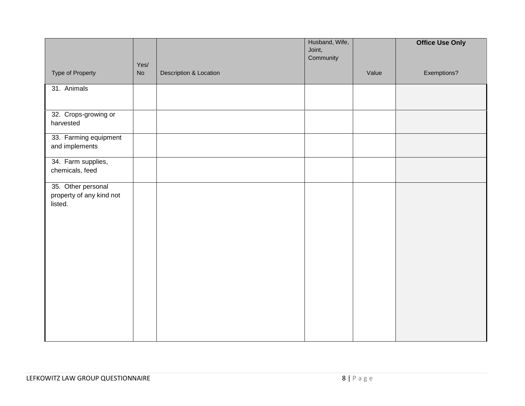|                                                           |            |                        | Husband, Wife,<br>Joint,<br>Community |       | <b>Office Use Only</b> |
|-----------------------------------------------------------|------------|------------------------|---------------------------------------|-------|------------------------|
| Type of Property                                          | Yes/<br>No | Description & Location |                                       | Value | Exemptions?            |
| 31. Animals                                               |            |                        |                                       |       |                        |
| 32. Crops-growing or<br>harvested                         |            |                        |                                       |       |                        |
| 33. Farming equipment<br>and implements                   |            |                        |                                       |       |                        |
| 34. Farm supplies,<br>chemicals, feed                     |            |                        |                                       |       |                        |
| 35. Other personal<br>property of any kind not<br>listed. |            |                        |                                       |       |                        |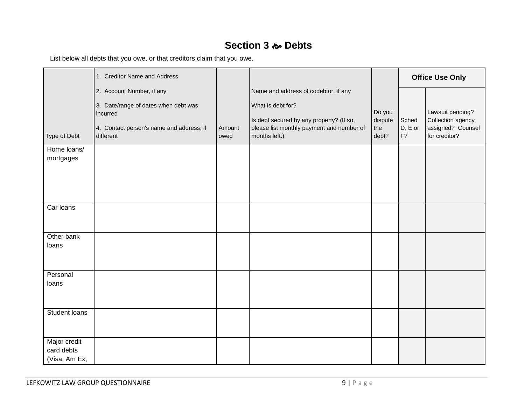### **Section 3 Debts**

List below all debts that you owe, or that creditors claim that you owe.

|                             | 1. Creditor Name and Address                                                                              |                |                                                                                                                             |                                   |                        | <b>Office Use Only</b>                                                      |
|-----------------------------|-----------------------------------------------------------------------------------------------------------|----------------|-----------------------------------------------------------------------------------------------------------------------------|-----------------------------------|------------------------|-----------------------------------------------------------------------------|
|                             | 2. Account Number, if any                                                                                 |                | Name and address of codebtor, if any                                                                                        |                                   |                        |                                                                             |
| Type of Debt                | 3. Date/range of dates when debt was<br>incurred<br>4. Contact person's name and address, if<br>different | Amount<br>owed | What is debt for?<br>Is debt secured by any property? (If so,<br>please list monthly payment and number of<br>months left.) | Do you<br>dispute<br>the<br>debt? | Sched<br>D, E or<br>F? | Lawsuit pending?<br>Collection agency<br>assigned? Counsel<br>for creditor? |
| Home loans/                 |                                                                                                           |                |                                                                                                                             |                                   |                        |                                                                             |
| mortgages                   |                                                                                                           |                |                                                                                                                             |                                   |                        |                                                                             |
| Car loans                   |                                                                                                           |                |                                                                                                                             |                                   |                        |                                                                             |
| Other bank                  |                                                                                                           |                |                                                                                                                             |                                   |                        |                                                                             |
| loans                       |                                                                                                           |                |                                                                                                                             |                                   |                        |                                                                             |
| Personal                    |                                                                                                           |                |                                                                                                                             |                                   |                        |                                                                             |
| loans                       |                                                                                                           |                |                                                                                                                             |                                   |                        |                                                                             |
| Student loans               |                                                                                                           |                |                                                                                                                             |                                   |                        |                                                                             |
| Major credit                |                                                                                                           |                |                                                                                                                             |                                   |                        |                                                                             |
| card debts<br>(Visa, Am Ex, |                                                                                                           |                |                                                                                                                             |                                   |                        |                                                                             |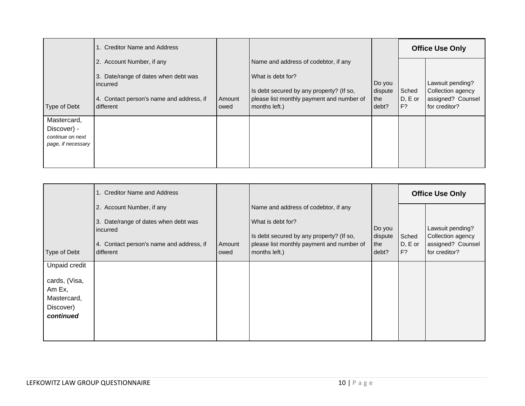|                                                                      | 1. Creditor Name and Address                                                                    |        |                                                                                                            |                          |                    | <b>Office Use Only</b>                                     |
|----------------------------------------------------------------------|-------------------------------------------------------------------------------------------------|--------|------------------------------------------------------------------------------------------------------------|--------------------------|--------------------|------------------------------------------------------------|
|                                                                      | 2. Account Number, if any                                                                       |        | Name and address of codebtor, if any                                                                       |                          |                    |                                                            |
|                                                                      | Date/range of dates when debt was<br>3.<br>incurred<br>4. Contact person's name and address, if | Amount | What is debt for?<br>Is debt secured by any property? (If so,<br>please list monthly payment and number of | Do you<br>dispute<br>the | Sched<br>$D, E$ or | Lawsuit pending?<br>Collection agency<br>assigned? Counsel |
| Type of Debt                                                         | different                                                                                       | owed   | months left.)                                                                                              | debt?                    | IF?                | for creditor?                                              |
| Mastercard,<br>Discover) -<br>continue on next<br>page, if necessary |                                                                                                 |        |                                                                                                            |                          |                    |                                                            |

|                                                                                   | 1. Creditor Name and Address                                                                                                           |                |                                                                                                                                                                     |                                   |                             | <b>Office Use Only</b>                                                      |
|-----------------------------------------------------------------------------------|----------------------------------------------------------------------------------------------------------------------------------------|----------------|---------------------------------------------------------------------------------------------------------------------------------------------------------------------|-----------------------------------|-----------------------------|-----------------------------------------------------------------------------|
| Type of Debt                                                                      | 2. Account Number, if any<br>3. Date/range of dates when debt was<br>incurred<br>4. Contact person's name and address, if<br>different | Amount<br>owed | Name and address of codebtor, if any<br>What is debt for?<br>Is debt secured by any property? (If so,<br>please list monthly payment and number of<br>months left.) | Do you<br>dispute<br>the<br>debt? | Sched<br>$D, E$ or<br>$F$ ? | Lawsuit pending?<br>Collection agency<br>assigned? Counsel<br>for creditor? |
| Unpaid credit<br>cards, (Visa,<br>Am Ex,<br>Mastercard,<br>Discover)<br>continued |                                                                                                                                        |                |                                                                                                                                                                     |                                   |                             |                                                                             |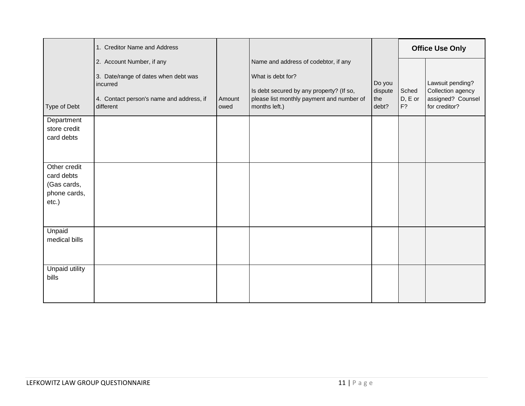|                                                                    | 1. Creditor Name and Address                                                                                                           |                |                                                                                                                                                                     |                                   |                        | <b>Office Use Only</b>                                                      |
|--------------------------------------------------------------------|----------------------------------------------------------------------------------------------------------------------------------------|----------------|---------------------------------------------------------------------------------------------------------------------------------------------------------------------|-----------------------------------|------------------------|-----------------------------------------------------------------------------|
| Type of Debt                                                       | 2. Account Number, if any<br>3. Date/range of dates when debt was<br>incurred<br>4. Contact person's name and address, if<br>different | Amount<br>owed | Name and address of codebtor, if any<br>What is debt for?<br>Is debt secured by any property? (If so,<br>please list monthly payment and number of<br>months left.) | Do you<br>dispute<br>the<br>debt? | Sched<br>D, E or<br>F? | Lawsuit pending?<br>Collection agency<br>assigned? Counsel<br>for creditor? |
| Department<br>store credit<br>card debts                           |                                                                                                                                        |                |                                                                                                                                                                     |                                   |                        |                                                                             |
| Other credit<br>card debts<br>(Gas cards,<br>phone cards,<br>etc.) |                                                                                                                                        |                |                                                                                                                                                                     |                                   |                        |                                                                             |
| Unpaid<br>medical bills                                            |                                                                                                                                        |                |                                                                                                                                                                     |                                   |                        |                                                                             |
| Unpaid utility<br>bills                                            |                                                                                                                                        |                |                                                                                                                                                                     |                                   |                        |                                                                             |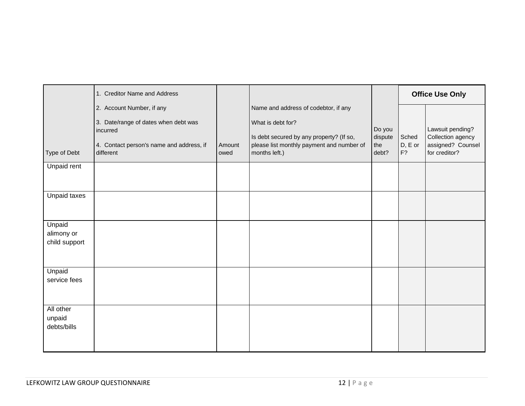|                                       | 1. Creditor Name and Address                                                                                                           |                |                                                                                                                                                                     |                                   |                          | <b>Office Use Only</b>                                                      |
|---------------------------------------|----------------------------------------------------------------------------------------------------------------------------------------|----------------|---------------------------------------------------------------------------------------------------------------------------------------------------------------------|-----------------------------------|--------------------------|-----------------------------------------------------------------------------|
| Type of Debt                          | 2. Account Number, if any<br>3. Date/range of dates when debt was<br>incurred<br>4. Contact person's name and address, if<br>different | Amount<br>owed | Name and address of codebtor, if any<br>What is debt for?<br>Is debt secured by any property? (If so,<br>please list monthly payment and number of<br>months left.) | Do you<br>dispute<br>the<br>debt? | Sched<br>$D, E$ or<br>F? | Lawsuit pending?<br>Collection agency<br>assigned? Counsel<br>for creditor? |
| Unpaid rent                           |                                                                                                                                        |                |                                                                                                                                                                     |                                   |                          |                                                                             |
| Unpaid taxes                          |                                                                                                                                        |                |                                                                                                                                                                     |                                   |                          |                                                                             |
| Unpaid<br>alimony or<br>child support |                                                                                                                                        |                |                                                                                                                                                                     |                                   |                          |                                                                             |
| Unpaid<br>service fees                |                                                                                                                                        |                |                                                                                                                                                                     |                                   |                          |                                                                             |
| All other<br>unpaid<br>debts/bills    |                                                                                                                                        |                |                                                                                                                                                                     |                                   |                          |                                                                             |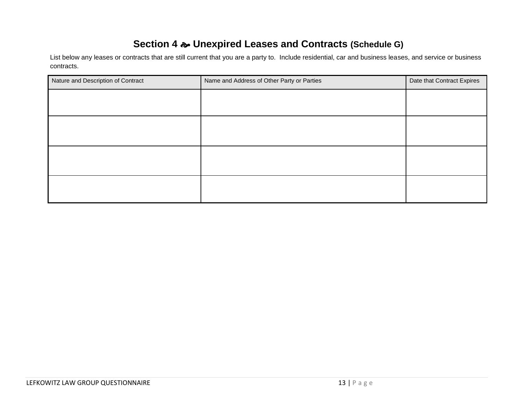# **Section 4 Unexpired Leases and Contracts (Schedule G)**

List below any leases or contracts that are still current that you are a party to. Include residential, car and business leases, and service or business contracts.

| Nature and Description of Contract | Name and Address of Other Party or Parties | Date that Contract Expires |
|------------------------------------|--------------------------------------------|----------------------------|
|                                    |                                            |                            |
|                                    |                                            |                            |
|                                    |                                            |                            |
|                                    |                                            |                            |
|                                    |                                            |                            |
|                                    |                                            |                            |
|                                    |                                            |                            |
|                                    |                                            |                            |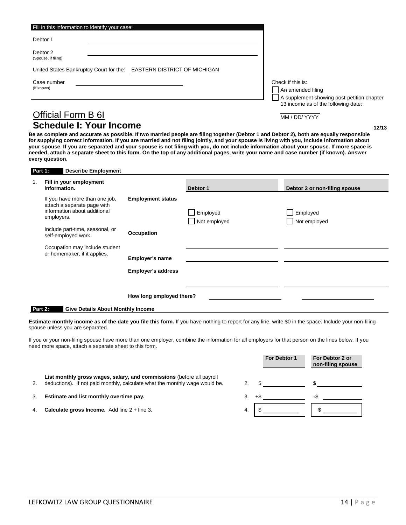| Fill in this information to identify your case:                      |                                                                                      |
|----------------------------------------------------------------------|--------------------------------------------------------------------------------------|
| Debtor 1                                                             |                                                                                      |
| Debtor 2<br>(Spouse, if filing)                                      |                                                                                      |
| United States Bankruptcy Court for the: EASTERN DISTRICT OF MICHIGAN |                                                                                      |
| Case number<br>(If known)                                            | Check if this is:<br>An amended filing<br>A supplement showing post-petition chapter |
| <b>Official Form B 6I</b>                                            | 13 income as of the following date:<br>MM / DD/ YYYY                                 |

# **Schedule I: Your Income 12/13**

**Be as complete and accurate as possible. If two married people are filing together (Debtor 1 and Debtor 2), both are equally responsible for supplying correct information. If you are married and not filing jointly, and your spouse is living with you, include information about your spouse. If you are separated and your spouse is not filing with you, do not include information about your spouse. If more space is needed, attach a separate sheet to this form. On the top of any additional pages, write your name and case number (if known). Answer every question.**

| Part 1: | <b>Describe Employment</b>                                                                                  |                                                     |                          |                               |
|---------|-------------------------------------------------------------------------------------------------------------|-----------------------------------------------------|--------------------------|-------------------------------|
| 1.      | Fill in your employment<br>information.                                                                     |                                                     | Debtor 1                 | Debtor 2 or non-filing spouse |
|         | If you have more than one job,<br>attach a separate page with<br>information about additional<br>employers. | <b>Employment status</b>                            | Employed<br>Not employed | Employed<br>Not employed      |
|         | Include part-time, seasonal, or<br>self-employed work.                                                      | Occupation                                          |                          |                               |
|         | Occupation may include student<br>or homemaker, if it applies.                                              | <b>Employer's name</b><br><b>Employer's address</b> |                          |                               |
|         |                                                                                                             | How long employed there?                            |                          |                               |
| Part 2: | <b>Give Details About Monthly Income</b>                                                                    |                                                     |                          |                               |

**Estimate monthly income as of the date you file this form.** If you have nothing to report for any line, write \$0 in the space. Include your non-filing spouse unless you are separated.

If you or your non-filing spouse have more than one employer, combine the information for all employers for that person on the lines below. If you need more space, attach a separate sheet to this form.

|              |                                                                                                                                                      |    |        | For Debtor 1 | For Debtor 2 or<br>non-filing spouse |
|--------------|------------------------------------------------------------------------------------------------------------------------------------------------------|----|--------|--------------|--------------------------------------|
| 2.           | List monthly gross wages, salary, and commissions (before all payroll<br>deductions). If not paid monthly, calculate what the monthly wage would be. |    |        |              |                                      |
| 3.           | Estimate and list monthly overtime pay.                                                                                                              | 3. | $+$ \$ |              | +\$                                  |
| $\mathbf{4}$ | <b>Calculate gross Income.</b> Add line $2 +$ line 3.                                                                                                | 4. |        |              |                                      |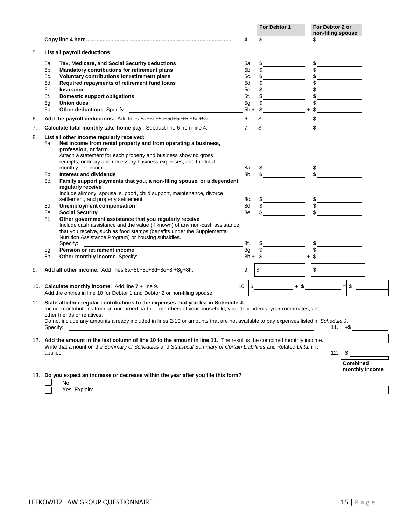|    |                                                                                                                                                                                                                                                                                                                                                                                                                                                                                                                                                                                                                                                                                                                                                                                                                                                                                                                                                                                               |                                                         | For Debtor 1                                                                                                                                           | For Debtor 2 or<br>non-filing spouse                                                                                                                                                                                                                                                                                                                                                                                            |                            |
|----|-----------------------------------------------------------------------------------------------------------------------------------------------------------------------------------------------------------------------------------------------------------------------------------------------------------------------------------------------------------------------------------------------------------------------------------------------------------------------------------------------------------------------------------------------------------------------------------------------------------------------------------------------------------------------------------------------------------------------------------------------------------------------------------------------------------------------------------------------------------------------------------------------------------------------------------------------------------------------------------------------|---------------------------------------------------------|--------------------------------------------------------------------------------------------------------------------------------------------------------|---------------------------------------------------------------------------------------------------------------------------------------------------------------------------------------------------------------------------------------------------------------------------------------------------------------------------------------------------------------------------------------------------------------------------------|----------------------------|
|    |                                                                                                                                                                                                                                                                                                                                                                                                                                                                                                                                                                                                                                                                                                                                                                                                                                                                                                                                                                                               | 4.                                                      |                                                                                                                                                        | \$                                                                                                                                                                                                                                                                                                                                                                                                                              |                            |
| 5. | List all payroll deductions:                                                                                                                                                                                                                                                                                                                                                                                                                                                                                                                                                                                                                                                                                                                                                                                                                                                                                                                                                                  |                                                         |                                                                                                                                                        |                                                                                                                                                                                                                                                                                                                                                                                                                                 |                            |
|    | Tax, Medicare, and Social Security deductions<br>5a.<br>Mandatory contributions for retirement plans<br>5b.<br>5c.<br>Voluntary contributions for retirement plans<br>Required repayments of retirement fund loans<br>5d.<br><b>Insurance</b><br>5e.<br>5f.<br><b>Domestic support obligations</b><br>5g.<br>Union dues<br>5h.                                                                                                                                                                                                                                                                                                                                                                                                                                                                                                                                                                                                                                                                | 5а.<br>5b.<br>5c.<br>5d.<br>5е.<br>5f.<br>5g.<br>$5h.+$ | <u> 1989 - Johann Barnett, fransk kongre</u><br>$+$ \$                                                                                                 | $\frac{1}{2}$<br><u> 1980 - Johann Barbara, martxa a</u><br>\$                                                                                                                                                                                                                                                                                                                                                                  |                            |
| 6. | Add the payroll deductions. Add lines 5a+5b+5c+5d+5e+5f+5g+5h.                                                                                                                                                                                                                                                                                                                                                                                                                                                                                                                                                                                                                                                                                                                                                                                                                                                                                                                                | 6.                                                      |                                                                                                                                                        |                                                                                                                                                                                                                                                                                                                                                                                                                                 |                            |
| 7. | Calculate total monthly take-home pay. Subtract line 6 from line 4.                                                                                                                                                                                                                                                                                                                                                                                                                                                                                                                                                                                                                                                                                                                                                                                                                                                                                                                           | 7.                                                      | $\label{eq:2} \begin{split} \mathcal{L}_{\text{max}}(\mathcal{L}_{\text{max}}) = \mathcal{L}_{\text{max}}(\mathcal{L}_{\text{max}}) \end{split}$<br>\$ | $\frac{1}{\sqrt{1-\frac{1}{2}}}\frac{1}{\sqrt{1-\frac{1}{2}}}\frac{1}{\sqrt{1-\frac{1}{2}}}\frac{1}{\sqrt{1-\frac{1}{2}}}\frac{1}{\sqrt{1-\frac{1}{2}}}\frac{1}{\sqrt{1-\frac{1}{2}}}\frac{1}{\sqrt{1-\frac{1}{2}}}\frac{1}{\sqrt{1-\frac{1}{2}}}\frac{1}{\sqrt{1-\frac{1}{2}}}\frac{1}{\sqrt{1-\frac{1}{2}}}\frac{1}{\sqrt{1-\frac{1}{2}}}\frac{1}{\sqrt{1-\frac{1}{2}}}\frac{1}{\sqrt{1-\frac{1}{2}}}\frac{1}{\sqrt{1-\frac{$ |                            |
| 8. | List all other income regularly received:<br>8a.<br>Net income from rental property and from operating a business,<br>profession, or farm<br>Attach a statement for each property and business showing gross<br>receipts, ordinary and necessary business expenses, and the total<br>monthly net income.<br><b>Interest and dividends</b><br>8b.<br>Family support payments that you, a non-filing spouse, or a dependent<br>8c.<br>regularly receive<br>Include alimony, spousal support, child support, maintenance, divorce<br>settlement, and property settlement.<br><b>Unemployment compensation</b><br>8d.<br><b>Social Security</b><br>8e.<br>Other government assistance that you regularly receive<br>8f.<br>Include cash assistance and the value (if known) of any non-cash assistance<br>that you receive, such as food stamps (benefits under the Supplemental<br>Nutrition Assistance Program) or housing subsidies.<br>Specify:<br>Pension or retirement income<br>8g.<br>8h. | 8a.<br>8b.<br>8c.<br>8d.<br>8e.<br>8f.<br>8g.           | $8h.+$ \$                                                                                                                                              | $+$ \$                                                                                                                                                                                                                                                                                                                                                                                                                          |                            |
| 9. | Add all other income. Add lines 8a+8b+8c+8d+8e+8f+8g+8h.                                                                                                                                                                                                                                                                                                                                                                                                                                                                                                                                                                                                                                                                                                                                                                                                                                                                                                                                      | 9.                                                      | \$                                                                                                                                                     | $\sim$                                                                                                                                                                                                                                                                                                                                                                                                                          |                            |
|    | 10. Calculate monthly income. Add line 7 + line 9.<br>Add the entries in line 10 for Debtor 1 and Debtor 2 or non-filing spouse.                                                                                                                                                                                                                                                                                                                                                                                                                                                                                                                                                                                                                                                                                                                                                                                                                                                              | $\sqrt{2}$<br>10.                                       | $+1$ \$                                                                                                                                                |                                                                                                                                                                                                                                                                                                                                                                                                                                 | $\sqrt{2}$<br>$=$          |
|    | 11. State all other regular contributions to the expenses that you list in Schedule J.<br>Include contributions from an unmarried partner, members of your household, your dependents, your roommates, and<br>other friends or relatives.<br>Do not include any amounts already included in lines 2-10 or amounts that are not available to pay expenses listed in Schedule J.<br>Specify:                                                                                                                                                                                                                                                                                                                                                                                                                                                                                                                                                                                                    |                                                         |                                                                                                                                                        | 11.                                                                                                                                                                                                                                                                                                                                                                                                                             | +\$                        |
|    | 12. Add the amount in the last column of line 10 to the amount in line 11. The result is the combined monthly income.<br>Write that amount on the Summary of Schedules and Statistical Summary of Certain Liabilities and Related Data, if it<br>applies                                                                                                                                                                                                                                                                                                                                                                                                                                                                                                                                                                                                                                                                                                                                      |                                                         |                                                                                                                                                        | 12.                                                                                                                                                                                                                                                                                                                                                                                                                             | Combined<br>monthly income |
|    | 13. Do you expect an increase or decrease within the year after you file this form?<br>No.<br>Yes. Explain:                                                                                                                                                                                                                                                                                                                                                                                                                                                                                                                                                                                                                                                                                                                                                                                                                                                                                   |                                                         |                                                                                                                                                        |                                                                                                                                                                                                                                                                                                                                                                                                                                 |                            |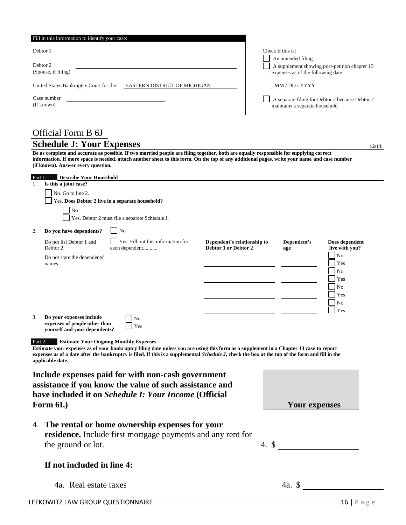|         | Fill in this information to identify your case:                                                                                                                                                                                                                                                                                                                                        |                                                     |                                                                              |                                                                                                             |
|---------|----------------------------------------------------------------------------------------------------------------------------------------------------------------------------------------------------------------------------------------------------------------------------------------------------------------------------------------------------------------------------------------|-----------------------------------------------------|------------------------------------------------------------------------------|-------------------------------------------------------------------------------------------------------------|
|         | Debtor 1<br>Debtor 2<br>(Spouse, if filing)                                                                                                                                                                                                                                                                                                                                            |                                                     | Check if this is:<br>An amended filing<br>expenses as of the following date: | A supplement showing post-petition chapter 13                                                               |
|         | United States Bankruptcy Court for the: EASTERN DISTRICT OF MICHIGAN<br>Case number<br>(If known)                                                                                                                                                                                                                                                                                      |                                                     | MM / DD / YYYY<br>maintains a separate household                             | A separate filing for Debtor 2 because Debtor 2                                                             |
|         | Official Form B 6J<br><b>Schedule J: Your Expenses</b><br>Be as complete and accurate as possible. If two married people are filing together, both are equally responsible for supplying correct<br>information. If more space is needed, attach another sheet to this form. On the top of any additional pages, write your name and case number<br>(if known). Answer every question. |                                                     |                                                                              | 12/13                                                                                                       |
| 1.      | Part 1: Describe Your Household<br>Is this a joint case?<br>No. Go to line 2.<br>Yes. Does Debtor 2 live in a separate household?<br>N <sub>o</sub><br>Yes. Debtor 2 must file a separate Schedule J.                                                                                                                                                                                  |                                                     |                                                                              |                                                                                                             |
| 2.      | N <sub>o</sub><br>Do you have dependents?<br>Yes. Fill out this information for<br>Do not list Debtor 1 and<br>each dependent<br>Debtor 2.<br>Do not state the dependents'<br>names.                                                                                                                                                                                                   | Dependent's relationship to<br>Debtor 1 or Debtor 2 | Dependent's<br>age                                                           | Does dependent<br>live with you?<br>N <sub>o</sub><br>Yes<br>N <sub>0</sub><br>Yes<br>$\rm No$<br>Yes<br>No |
| 3.      | Do your expenses include<br>No<br>expenses of people other than<br>Yes<br>yourself and your dependents?                                                                                                                                                                                                                                                                                |                                                     |                                                                              | Yes                                                                                                         |
| Part 2: | <b>Estimate Your Ongoing Monthly Expenses</b><br>Estimate your expenses as of your bankruptcy filing date unless you are using this form as a supplement in a Chapter 13 case to report<br>expenses as of a date after the bankruptcy is filed. If this is a supplemental <i>Schedule J</i> , check the box at the top of the form and fill in the<br>applicable date.                 |                                                     |                                                                              |                                                                                                             |

**Include expenses paid for with non-cash government assistance if you know the value of such assistance and have included it on** *Schedule I: Your Income* **(Official**  Form 6I.) **Form 61.** *Your expenses* 

4. **The rental or home ownership expenses for your residence.** Include first mortgage payments and any rent for the ground or lot.  $4. \,$ \$

#### **If not included in line 4:**

4a. Real estate taxes 4a. \$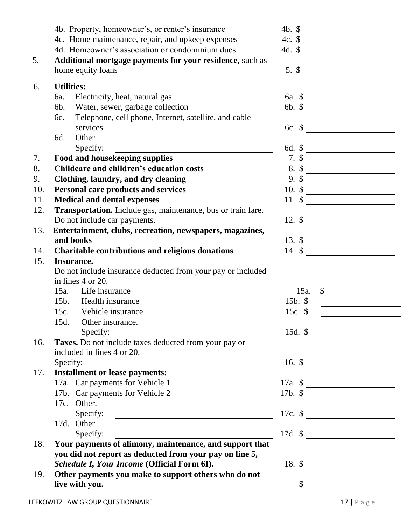|     | 4b. Property, homeowner's, or renter's insurance                                                                                                                                                                               |                                                               |
|-----|--------------------------------------------------------------------------------------------------------------------------------------------------------------------------------------------------------------------------------|---------------------------------------------------------------|
|     | 4c. Home maintenance, repair, and upkeep expenses                                                                                                                                                                              | 4c. $\frac{1}{2}$                                             |
|     | 4d. Homeowner's association or condominium dues                                                                                                                                                                                | 4d. $\frac{\sqrt{2}}{2}$                                      |
| 5.  | Additional mortgage payments for your residence, such as                                                                                                                                                                       |                                                               |
|     | home equity loans                                                                                                                                                                                                              | $5. \;$ \$                                                    |
|     |                                                                                                                                                                                                                                |                                                               |
| 6.  | <b>Utilities:</b>                                                                                                                                                                                                              |                                                               |
|     | Electricity, heat, natural gas<br>6a.                                                                                                                                                                                          | 6a. $\frac{2}{\frac{1}{\frac{1}{2}}\left(\frac{1}{2}\right)}$ |
|     | Water, sewer, garbage collection<br>6b.                                                                                                                                                                                        |                                                               |
|     | Telephone, cell phone, Internet, satellite, and cable<br><i>бс.</i>                                                                                                                                                            |                                                               |
|     | services                                                                                                                                                                                                                       | 6c. $\frac{\sqrt{25}}{25}$                                    |
|     | Other.<br>6d.                                                                                                                                                                                                                  |                                                               |
|     | Specify:                                                                                                                                                                                                                       | 6d. $\frac{1}{2}$                                             |
| 7.  | Food and housekeeping supplies                                                                                                                                                                                                 | 7. $\frac{\sqrt{2}}{2}$                                       |
| 8.  | <b>Childcare and children's education costs</b>                                                                                                                                                                                | $8.$ \$                                                       |
| 9.  | Clothing, laundry, and dry cleaning                                                                                                                                                                                            | $9.$ \$                                                       |
| 10. | Personal care products and services                                                                                                                                                                                            | $10.$ \$                                                      |
| 11. | <b>Medical and dental expenses</b>                                                                                                                                                                                             | 11. $\frac{1}{2}$                                             |
| 12. | Transportation. Include gas, maintenance, bus or train fare.                                                                                                                                                                   |                                                               |
|     | Do not include car payments.                                                                                                                                                                                                   | 12. $\frac{\sqrt{2}}{2}$                                      |
| 13. | Entertainment, clubs, recreation, newspapers, magazines,                                                                                                                                                                       |                                                               |
|     | and books                                                                                                                                                                                                                      | 13. $\frac{13.5}{14.5}$                                       |
| 14. | Charitable contributions and religious donations                                                                                                                                                                               |                                                               |
| 15. | Insurance.                                                                                                                                                                                                                     |                                                               |
|     | Do not include insurance deducted from your pay or included<br>in lines $4$ or $20$ .                                                                                                                                          |                                                               |
|     | $15a$ .<br>Life insurance                                                                                                                                                                                                      | 15a.                                                          |
|     | Health insurance<br>$15b$ .                                                                                                                                                                                                    | $\frac{1}{2}$<br>15b. $\$\$                                   |
|     | 15c. Vehicle insurance                                                                                                                                                                                                         | 15c. \$                                                       |
|     | 15d. Other insurance.                                                                                                                                                                                                          |                                                               |
|     | Specify:                                                                                                                                                                                                                       | 15d. $\$\$                                                    |
| 16. | Taxes. Do not include taxes deducted from your pay or                                                                                                                                                                          |                                                               |
|     | included in lines 4 or 20.                                                                                                                                                                                                     |                                                               |
|     | Specify:<br><u> 1989 - Johann Barn, fransk politik fotograf (d. 1989)</u>                                                                                                                                                      | 16. $\frac{\ }{\ }$                                           |
| 17. | <b>Installment or lease payments:</b>                                                                                                                                                                                          |                                                               |
|     | 17a. Car payments for Vehicle 1                                                                                                                                                                                                | 17a. $\frac{\sqrt{2}}{2}$                                     |
|     | 17b. Car payments for Vehicle 2                                                                                                                                                                                                | 17b. $\frac{\sqrt{2}}{2}$                                     |
|     | 17c. Other.                                                                                                                                                                                                                    |                                                               |
|     | Specify:                                                                                                                                                                                                                       | 17c. $\frac{\sqrt{2}}{2}$                                     |
|     | 17d. Other.                                                                                                                                                                                                                    |                                                               |
|     | Specify:                                                                                                                                                                                                                       | 17d. $\frac{\sqrt{2}}{2}$                                     |
| 18. | Specify: Specify: Specify: Specify: Specify: Specify: Specify: Specify: Specify: Specify: Specify: Specify: Specify: Specify: Specify: Specify: Specify: Specify: Specify: Specify: Specify: Specify: Specify: Specify: Specif |                                                               |
|     | you did not report as deducted from your pay on line 5,                                                                                                                                                                        |                                                               |
|     | Schedule I, Your Income (Official Form 6I).                                                                                                                                                                                    |                                                               |
| 19. | Other payments you make to support others who do not                                                                                                                                                                           |                                                               |
|     | live with you.                                                                                                                                                                                                                 | $\frac{\text{S}}{\text{S}}$                                   |
|     |                                                                                                                                                                                                                                |                                                               |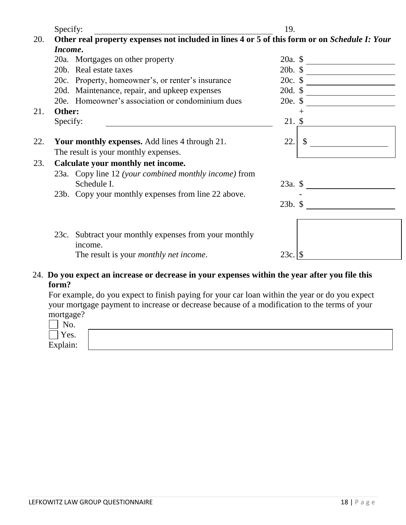|     | Specify:                                                                                      | 19.                  |
|-----|-----------------------------------------------------------------------------------------------|----------------------|
| 20. | Other real property expenses not included in lines 4 or 5 of this form or on Schedule I: Your |                      |
|     | Income.                                                                                       |                      |
|     | 20a. Mortgages on other property                                                              | $20a.$ \$            |
|     | 20b. Real estate taxes                                                                        | 20b. $\frac{\ }{20}$ |
|     | 20c. Property, homeowner's, or renter's insurance                                             | 20c. $\frac{20}{1}$  |
|     | 20d. Maintenance, repair, and upkeep expenses                                                 | 20d. $\frac{\ }{20}$ |
|     | 20e. Homeowner's association or condominium dues                                              | $20e.$ \$            |
| 21. | Other:                                                                                        | $^{+}$               |
|     | Specify:                                                                                      | $21. \$              |
|     |                                                                                               |                      |
| 22. | Your monthly expenses. Add lines 4 through 21.                                                | 22.<br>$\mathbb{S}$  |
|     | The result is your monthly expenses.                                                          |                      |
| 23. | Calculate your monthly net income.                                                            |                      |
|     | 23a. Copy line 12 (your combined monthly income) from                                         |                      |
|     | Schedule I.                                                                                   | 23a. $\sim$          |
|     | 23b. Copy your monthly expenses from line 22 above.                                           |                      |
|     |                                                                                               | $23b.$ \$            |
|     |                                                                                               |                      |
|     |                                                                                               |                      |
|     | 23c. Subtract your monthly expenses from your monthly                                         |                      |
|     | income.                                                                                       |                      |
|     | The result is your <i>monthly net income</i> .                                                | 23c.   \$            |
|     |                                                                                               |                      |

#### 24. **Do you expect an increase or decrease in your expenses within the year after you file this form?**

For example, do you expect to finish paying for your car loan within the year or do you expect your mortgage payment to increase or decrease because of a modification to the terms of your mortgage?

| No.      |  |
|----------|--|
| Yes.     |  |
| Explain: |  |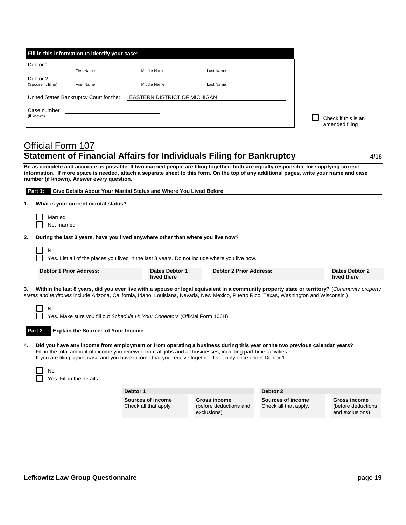|                           | Fill in this information to identify your case: |                                     |           |                                       |
|---------------------------|-------------------------------------------------|-------------------------------------|-----------|---------------------------------------|
| Debtor 1                  |                                                 |                                     |           |                                       |
|                           | <b>First Name</b>                               | Middle Name                         | Last Name |                                       |
| Debtor 2                  |                                                 |                                     |           |                                       |
| (Spouse if, filing)       | <b>First Name</b>                               | Middle Name                         | Last Name |                                       |
|                           | United States Bankruptcy Court for the:         | <b>EASTERN DISTRICT OF MICHIGAN</b> |           |                                       |
| Case number<br>(if known) |                                                 |                                     |           | Check if this is an<br>amended filing |

#### Official Form 107 **Statement of Financial Affairs for Individuals Filing for Bankruptcy <b>4/16** 4/16

Check all that apply.

**Be as complete and accurate as possible. If two married people are filing together, both are equally responsible for supplying correct information. If more space is needed, attach a separate sheet to this form. On the top of any additional pages, write your name and case number (if known). Answer every question.**

**Part 1: Give Details About Your Marital Status and Where You Lived Before**

| 1.                                                                                                  | What is your current marital status?                                                                                                                                                                                                                                                                                                                              |                               |                                |                          |                               |  |  |  |
|-----------------------------------------------------------------------------------------------------|-------------------------------------------------------------------------------------------------------------------------------------------------------------------------------------------------------------------------------------------------------------------------------------------------------------------------------------------------------------------|-------------------------------|--------------------------------|--------------------------|-------------------------------|--|--|--|
|                                                                                                     | Married<br>Not married                                                                                                                                                                                                                                                                                                                                            |                               |                                |                          |                               |  |  |  |
| 2.                                                                                                  | During the last 3 years, have you lived anywhere other than where you live now?                                                                                                                                                                                                                                                                                   |                               |                                |                          |                               |  |  |  |
| No<br>Yes. List all of the places you lived in the last 3 years. Do not include where you live now. |                                                                                                                                                                                                                                                                                                                                                                   |                               |                                |                          |                               |  |  |  |
|                                                                                                     | <b>Debtor 1 Prior Address:</b>                                                                                                                                                                                                                                                                                                                                    | Dates Debtor 1<br>lived there | <b>Debtor 2 Prior Address:</b> |                          | Dates Debtor 2<br>lived there |  |  |  |
| 3.                                                                                                  | Within the last 8 years, did you ever live with a spouse or legal equivalent in a community property state or territory? (Community property<br>states and territories include Arizona, California, Idaho, Louisiana, Nevada, New Mexico, Puerto Rico, Texas, Washington and Wisconsin.)<br>No                                                                    |                               |                                |                          |                               |  |  |  |
|                                                                                                     | Yes. Make sure you fill out Schedule H: Your Codebtors (Official Form 106H).<br>Part 2<br><b>Explain the Sources of Your Income</b>                                                                                                                                                                                                                               |                               |                                |                          |                               |  |  |  |
| 4.                                                                                                  | Did you have any income from employment or from operating a business during this year or the two previous calendar years?<br>Fill in the total amount of income you received from all jobs and all businesses, including part-time activities.<br>If you are filing a joint case and you have income that you receive together, list it only once under Debtor 1. |                               |                                |                          |                               |  |  |  |
|                                                                                                     | No<br>Yes. Fill in the details.                                                                                                                                                                                                                                                                                                                                   |                               |                                |                          |                               |  |  |  |
|                                                                                                     |                                                                                                                                                                                                                                                                                                                                                                   | Debtor 1                      |                                | Debtor 2                 |                               |  |  |  |
|                                                                                                     |                                                                                                                                                                                                                                                                                                                                                                   | Sources of income             | Gross income                   | <b>Sources of income</b> | Gross income                  |  |  |  |

(before deductions and

Check all that apply.

exclusions)

(before deductions and exclusions)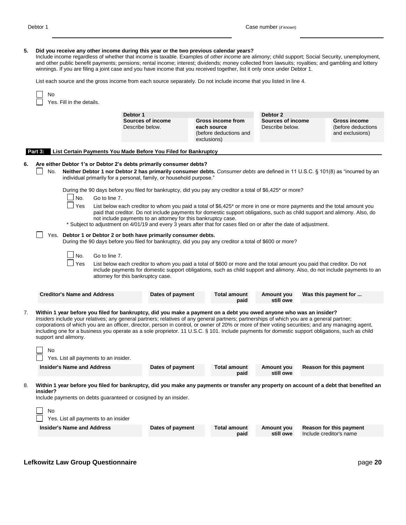| 5. | Did you receive any other income during this year or the two previous calendar years?<br>Include income regardless of whether that income is taxable. Examples of other income are alimony; child support; Social Security, unemployment,<br>and other public benefit payments; pensions; rental income; interest; dividends; money collected from lawsuits; royalties; and gambling and lottery<br>winnings. If you are filing a joint case and you have income that you received together, list it only once under Debtor 1.                                                                      |                                                                                                                     |                                                                                                                                                                                                                                                                                                                      |                                                                                  |                                      |                         |                                                              |  |  |
|----|-----------------------------------------------------------------------------------------------------------------------------------------------------------------------------------------------------------------------------------------------------------------------------------------------------------------------------------------------------------------------------------------------------------------------------------------------------------------------------------------------------------------------------------------------------------------------------------------------------|---------------------------------------------------------------------------------------------------------------------|----------------------------------------------------------------------------------------------------------------------------------------------------------------------------------------------------------------------------------------------------------------------------------------------------------------------|----------------------------------------------------------------------------------|--------------------------------------|-------------------------|--------------------------------------------------------------|--|--|
|    | List each source and the gross income from each source separately. Do not include income that you listed in line 4.                                                                                                                                                                                                                                                                                                                                                                                                                                                                                 |                                                                                                                     |                                                                                                                                                                                                                                                                                                                      |                                                                                  |                                      |                         |                                                              |  |  |
|    | No<br>Yes. Fill in the details.                                                                                                                                                                                                                                                                                                                                                                                                                                                                                                                                                                     |                                                                                                                     |                                                                                                                                                                                                                                                                                                                      |                                                                                  |                                      |                         |                                                              |  |  |
|    |                                                                                                                                                                                                                                                                                                                                                                                                                                                                                                                                                                                                     | Debtor 1                                                                                                            |                                                                                                                                                                                                                                                                                                                      |                                                                                  | Debtor 2                             |                         |                                                              |  |  |
|    |                                                                                                                                                                                                                                                                                                                                                                                                                                                                                                                                                                                                     | Sources of income<br>Describe below.                                                                                |                                                                                                                                                                                                                                                                                                                      | <b>Gross income from</b><br>each source<br>(before deductions and<br>exclusions) | Sources of income<br>Describe below. |                         | <b>Gross income</b><br>(before deductions<br>and exclusions) |  |  |
|    | Part 3:                                                                                                                                                                                                                                                                                                                                                                                                                                                                                                                                                                                             |                                                                                                                     | List Certain Payments You Made Before You Filed for Bankruptcy                                                                                                                                                                                                                                                       |                                                                                  |                                      |                         |                                                              |  |  |
| 6. | Are either Debtor 1's or Debtor 2's debts primarily consumer debts?                                                                                                                                                                                                                                                                                                                                                                                                                                                                                                                                 |                                                                                                                     |                                                                                                                                                                                                                                                                                                                      |                                                                                  |                                      |                         |                                                              |  |  |
|    | No.                                                                                                                                                                                                                                                                                                                                                                                                                                                                                                                                                                                                 |                                                                                                                     | Neither Debtor 1 nor Debtor 2 has primarily consumer debts. Consumer debts are defined in 11 U.S.C. § 101(8) as "incurred by an<br>individual primarily for a personal, family, or household purpose."                                                                                                               |                                                                                  |                                      |                         |                                                              |  |  |
|    | No.                                                                                                                                                                                                                                                                                                                                                                                                                                                                                                                                                                                                 | Go to line 7.                                                                                                       | During the 90 days before you filed for bankruptcy, did you pay any creditor a total of \$6,425 <sup>*</sup> or more?                                                                                                                                                                                                |                                                                                  |                                      |                         |                                                              |  |  |
|    | Yes                                                                                                                                                                                                                                                                                                                                                                                                                                                                                                                                                                                                 |                                                                                                                     | List below each creditor to whom you paid a total of \$6,425* or more in one or more payments and the total amount you<br>paid that creditor. Do not include payments for domestic support obligations, such as child support and alimony. Also, do<br>not include payments to an attorney for this bankruptcy case. |                                                                                  |                                      |                         |                                                              |  |  |
|    |                                                                                                                                                                                                                                                                                                                                                                                                                                                                                                                                                                                                     | * Subject to adjustment on 4/01/19 and every 3 years after that for cases filed on or after the date of adjustment. |                                                                                                                                                                                                                                                                                                                      |                                                                                  |                                      |                         |                                                              |  |  |
|    | Yes. Debtor 1 or Debtor 2 or both have primarily consumer debts.<br>During the 90 days before you filed for bankruptcy, did you pay any creditor a total of \$600 or more?                                                                                                                                                                                                                                                                                                                                                                                                                          |                                                                                                                     |                                                                                                                                                                                                                                                                                                                      |                                                                                  |                                      |                         |                                                              |  |  |
|    | No.                                                                                                                                                                                                                                                                                                                                                                                                                                                                                                                                                                                                 | Go to line 7.                                                                                                       |                                                                                                                                                                                                                                                                                                                      |                                                                                  |                                      |                         |                                                              |  |  |
|    | Yes                                                                                                                                                                                                                                                                                                                                                                                                                                                                                                                                                                                                 | attorney for this bankruptcy case.                                                                                  | List below each creditor to whom you paid a total of \$600 or more and the total amount you paid that creditor. Do not<br>include payments for domestic support obligations, such as child support and alimony. Also, do not include payments to an                                                                  |                                                                                  |                                      |                         |                                                              |  |  |
|    | <b>Creditor's Name and Address</b>                                                                                                                                                                                                                                                                                                                                                                                                                                                                                                                                                                  |                                                                                                                     | Dates of payment                                                                                                                                                                                                                                                                                                     | <b>Total amount</b><br>paid                                                      | Amount you<br>still owe              |                         | Was this payment for                                         |  |  |
| 7. | Within 1 year before you filed for bankruptcy, did you make a payment on a debt you owed anyone who was an insider?<br>Insiders include your relatives; any general partners; relatives of any general partners; partnerships of which you are a general partner;<br>corporations of which you are an officer, director, person in control, or owner of 20% or more of their voting securities; and any managing agent,<br>including one for a business you operate as a sole proprietor. 11 U.S.C. § 101. Include payments for domestic support obligations, such as child<br>support and alimony. |                                                                                                                     |                                                                                                                                                                                                                                                                                                                      |                                                                                  |                                      |                         |                                                              |  |  |
|    | No<br>Yes. List all payments to an insider.                                                                                                                                                                                                                                                                                                                                                                                                                                                                                                                                                         |                                                                                                                     |                                                                                                                                                                                                                                                                                                                      |                                                                                  |                                      |                         |                                                              |  |  |
|    | <b>Insider's Name and Address</b>                                                                                                                                                                                                                                                                                                                                                                                                                                                                                                                                                                   |                                                                                                                     | Dates of payment                                                                                                                                                                                                                                                                                                     | <b>Total amount</b><br>paid                                                      | Amount you<br>still owe              |                         | Reason for this payment                                      |  |  |
| 8. | Within 1 year before you filed for bankruptcy, did you make any payments or transfer any property on account of a debt that benefited an<br>insider?<br>Include payments on debts guaranteed or cosigned by an insider.                                                                                                                                                                                                                                                                                                                                                                             |                                                                                                                     |                                                                                                                                                                                                                                                                                                                      |                                                                                  |                                      |                         |                                                              |  |  |
|    | No<br>Yes. List all payments to an insider                                                                                                                                                                                                                                                                                                                                                                                                                                                                                                                                                          |                                                                                                                     |                                                                                                                                                                                                                                                                                                                      |                                                                                  |                                      |                         |                                                              |  |  |
|    | <b>Insider's Name and Address</b>                                                                                                                                                                                                                                                                                                                                                                                                                                                                                                                                                                   |                                                                                                                     | Dates of payment                                                                                                                                                                                                                                                                                                     | <b>Total amount</b><br>paid                                                      | Amount you<br>still owe              | Include creditor's name | Reason for this payment                                      |  |  |
|    |                                                                                                                                                                                                                                                                                                                                                                                                                                                                                                                                                                                                     |                                                                                                                     |                                                                                                                                                                                                                                                                                                                      |                                                                                  |                                      |                         |                                                              |  |  |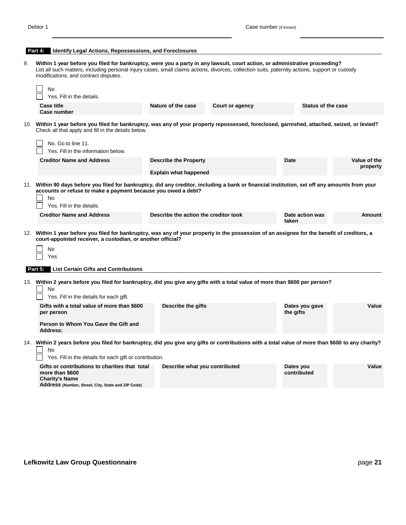|                                                                                                                                                                                                                                                                                                                               | Part 4:<br><b>Identify Legal Actions, Repossessions, and Foreclosures</b>                                                                                                                                                                          |                                       |                        |                             |                          |  |
|-------------------------------------------------------------------------------------------------------------------------------------------------------------------------------------------------------------------------------------------------------------------------------------------------------------------------------|----------------------------------------------------------------------------------------------------------------------------------------------------------------------------------------------------------------------------------------------------|---------------------------------------|------------------------|-----------------------------|--------------------------|--|
| 9.<br>Within 1 year before you filed for bankruptcy, were you a party in any lawsuit, court action, or administrative proceeding?<br>List all such matters, including personal injury cases, small claims actions, divorces, collection suits, paternity actions, support or custody<br>modifications, and contract disputes. |                                                                                                                                                                                                                                                    |                                       |                        |                             |                          |  |
|                                                                                                                                                                                                                                                                                                                               | No<br>Yes. Fill in the details.                                                                                                                                                                                                                    |                                       |                        |                             |                          |  |
|                                                                                                                                                                                                                                                                                                                               | <b>Case title</b><br>Case number                                                                                                                                                                                                                   | Nature of the case                    | <b>Court or agency</b> | <b>Status of the case</b>   |                          |  |
|                                                                                                                                                                                                                                                                                                                               | 10. Within 1 year before you filed for bankruptcy, was any of your property repossessed, foreclosed, garnished, attached, seized, or levied?<br>Check all that apply and fill in the details below.                                                |                                       |                        |                             |                          |  |
|                                                                                                                                                                                                                                                                                                                               | No. Go to line 11.<br>Yes. Fill in the information below.                                                                                                                                                                                          |                                       |                        |                             |                          |  |
|                                                                                                                                                                                                                                                                                                                               | <b>Creditor Name and Address</b>                                                                                                                                                                                                                   | <b>Describe the Property</b>          |                        | Date                        | Value of the<br>property |  |
|                                                                                                                                                                                                                                                                                                                               |                                                                                                                                                                                                                                                    | <b>Explain what happened</b>          |                        |                             |                          |  |
|                                                                                                                                                                                                                                                                                                                               | 11. Within 90 days before you filed for bankruptcy, did any creditor, including a bank or financial institution, set off any amounts from your<br>accounts or refuse to make a payment because you owed a debt?<br>No<br>Yes. Fill in the details. |                                       |                        |                             |                          |  |
|                                                                                                                                                                                                                                                                                                                               | <b>Creditor Name and Address</b>                                                                                                                                                                                                                   | Describe the action the creditor took |                        | Date action was<br>taken    | Amount                   |  |
|                                                                                                                                                                                                                                                                                                                               | 12. Within 1 year before you filed for bankruptcy, was any of your property in the possession of an assignee for the benefit of creditors, a<br>court-appointed receiver, a custodian, or another official?<br>No<br>Yes                           |                                       |                        |                             |                          |  |
|                                                                                                                                                                                                                                                                                                                               | <b>Part 5:</b> List Certain Gifts and Contributions                                                                                                                                                                                                |                                       |                        |                             |                          |  |
|                                                                                                                                                                                                                                                                                                                               | 13. Within 2 years before you filed for bankruptcy, did you give any gifts with a total value of more than \$600 per person?<br>No<br>Yes. Fill in the details for each gift.                                                                      |                                       |                        |                             |                          |  |
|                                                                                                                                                                                                                                                                                                                               | Gifts with a total value of more than \$600<br>per person                                                                                                                                                                                          | Describe the gifts                    |                        | Dates you gave<br>the gifts | Value                    |  |
|                                                                                                                                                                                                                                                                                                                               | Person to Whom You Gave the Gift and<br><b>Address:</b>                                                                                                                                                                                            |                                       |                        |                             |                          |  |
|                                                                                                                                                                                                                                                                                                                               | 14. Within 2 years before you filed for bankruptcy, did you give any gifts or contributions with a total value of more than \$600 to any charity?<br><b>No</b>                                                                                     |                                       |                        |                             |                          |  |
|                                                                                                                                                                                                                                                                                                                               | Yes. Fill in the details for each gift or contribution.<br>Gifts or contributions to charities that total<br>more than \$600<br><b>Charity's Name</b><br>Address (Number, Street, City, State and ZIP Code)                                        | Describe what you contributed         |                        | Dates you<br>contributed    | Value                    |  |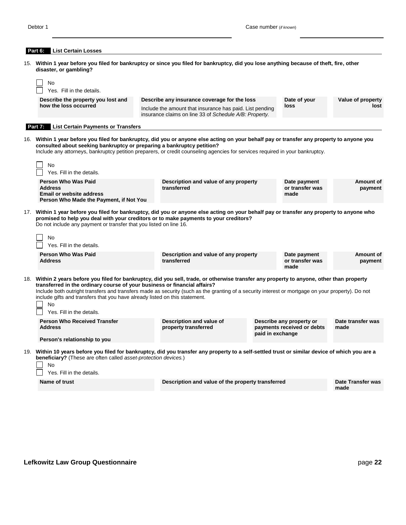#### **Part 6: List Certain Losses**

15. **Within 1 year before you filed for bankruptcy or since you filed for bankruptcy, did you lose anything because of theft, fire, other disaster, or gambling?**

| No<br>Yes. Fill in the details.                                                                                                                                                                                                                                                                                                                                                                                                                                                                       |                                                                                                                    |                  |                                                        |                           |
|-------------------------------------------------------------------------------------------------------------------------------------------------------------------------------------------------------------------------------------------------------------------------------------------------------------------------------------------------------------------------------------------------------------------------------------------------------------------------------------------------------|--------------------------------------------------------------------------------------------------------------------|------------------|--------------------------------------------------------|---------------------------|
| Describe the property you lost and                                                                                                                                                                                                                                                                                                                                                                                                                                                                    | Describe any insurance coverage for the loss                                                                       |                  | Date of your                                           | Value of property         |
| how the loss occurred                                                                                                                                                                                                                                                                                                                                                                                                                                                                                 | Include the amount that insurance has paid. List pending<br>insurance claims on line 33 of Schedule A/B: Property. |                  | loss                                                   | lost                      |
| <b>List Certain Payments or Transfers</b><br>Part 7:                                                                                                                                                                                                                                                                                                                                                                                                                                                  |                                                                                                                    |                  |                                                        |                           |
| 16. Within 1 year before you filed for bankruptcy, did you or anyone else acting on your behalf pay or transfer any property to anyone you<br>consulted about seeking bankruptcy or preparing a bankruptcy petition?<br>Include any attorneys, bankruptcy petition preparers, or credit counseling agencies for services required in your bankruptcy.                                                                                                                                                 |                                                                                                                    |                  |                                                        |                           |
| <b>No</b><br>Yes. Fill in the details.                                                                                                                                                                                                                                                                                                                                                                                                                                                                |                                                                                                                    |                  |                                                        |                           |
| Person Who Was Paid<br><b>Address</b><br>Email or website address<br>Person Who Made the Payment, if Not You                                                                                                                                                                                                                                                                                                                                                                                          | Description and value of any property<br>transferred                                                               |                  | Date payment<br>or transfer was<br>made                | Amount of<br>payment      |
| 17. Within 1 year before you filed for bankruptcy, did you or anyone else acting on your behalf pay or transfer any property to anyone who<br>promised to help you deal with your creditors or to make payments to your creditors?<br>Do not include any payment or transfer that you listed on line 16.                                                                                                                                                                                              |                                                                                                                    |                  |                                                        |                           |
| No<br>Yes. Fill in the details.                                                                                                                                                                                                                                                                                                                                                                                                                                                                       |                                                                                                                    |                  |                                                        |                           |
| <b>Person Who Was Paid</b><br><b>Address</b>                                                                                                                                                                                                                                                                                                                                                                                                                                                          | Description and value of any property<br>transferred                                                               |                  | Date payment<br>or transfer was<br>made                | Amount of<br>payment      |
| 18. Within 2 years before you filed for bankruptcy, did you sell, trade, or otherwise transfer any property to anyone, other than property<br>transferred in the ordinary course of your business or financial affairs?<br>Include both outright transfers and transfers made as security (such as the granting of a security interest or mortgage on your property). Do not<br>include gifts and transfers that you have already listed on this statement.<br><b>No</b><br>Yes. Fill in the details. |                                                                                                                    |                  |                                                        |                           |
| <b>Person Who Received Transfer</b><br><b>Address</b>                                                                                                                                                                                                                                                                                                                                                                                                                                                 | Description and value of<br>property transferred                                                                   | paid in exchange | Describe any property or<br>payments received or debts | Date transfer was<br>made |
| Person's relationship to you                                                                                                                                                                                                                                                                                                                                                                                                                                                                          |                                                                                                                    |                  |                                                        |                           |
| 19. Within 10 years before you filed for bankruptcy, did you transfer any property to a self-settled trust or similar device of which you are a<br><b>beneficiary?</b> (These are often called asset-protection devices.)<br>No<br>Yes. Fill in the details.                                                                                                                                                                                                                                          |                                                                                                                    |                  |                                                        |                           |
| Name of trust                                                                                                                                                                                                                                                                                                                                                                                                                                                                                         | Description and value of the property transferred                                                                  |                  |                                                        | Date Transfer was<br>made |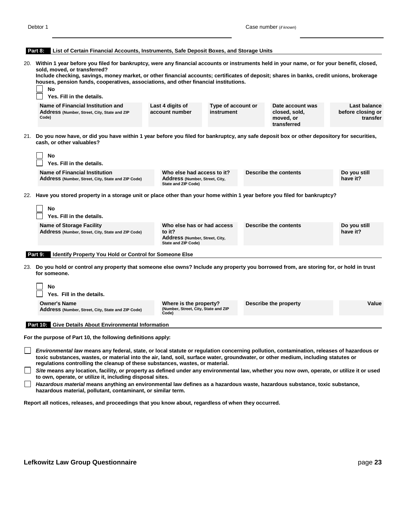#### **Part 8: List of Certain Financial Accounts, Instruments, Safe Deposit Boxes, and Storage Units**

20. **Within 1 year before you filed for bankruptcy, were any financial accounts or instruments held in your name, or for your benefit, closed, sold, moved, or transferred?** 

**Include checking, savings, money market, or other financial accounts; certificates of deposit; shares in banks, credit unions, brokerage houses, pension funds, cooperatives, associations, and other financial institutions.**

|     | nouses, pension funds, cooperatives, associations, and other financial institutions.<br>No<br>Yes. Fill in the details.                                                                                  |                                                                                            |                                                              |                       |                                                               |                                               |  |  |
|-----|----------------------------------------------------------------------------------------------------------------------------------------------------------------------------------------------------------|--------------------------------------------------------------------------------------------|--------------------------------------------------------------|-----------------------|---------------------------------------------------------------|-----------------------------------------------|--|--|
|     | Name of Financial Institution and<br>Address (Number, Street, City, State and ZIP<br>Code)                                                                                                               | Last 4 digits of<br>Type of account or<br>account number<br>instrument                     |                                                              |                       | Date account was<br>closed, sold,<br>moved, or<br>transferred | Last balance<br>before closing or<br>transfer |  |  |
| 21. | Do you now have, or did you have within 1 year before you filed for bankruptcy, any safe deposit box or other depository for securities,<br>cash, or other valuables?<br>No<br>Yes. Fill in the details. |                                                                                            |                                                              |                       |                                                               |                                               |  |  |
|     | Name of Financial Institution<br>Address (Number, Street, City, State and ZIP Code)                                                                                                                      | Who else had access to it?<br>Address (Number, Street, City,<br><b>State and ZIP Code)</b> |                                                              | Describe the contents |                                                               | Do you still<br>have it?                      |  |  |
| 22. | Have you stored property in a storage unit or place other than your home within 1 year before you filed for bankruptcy?<br>No<br>Yes. Fill in the details.                                               |                                                                                            |                                                              |                       |                                                               |                                               |  |  |
|     | <b>Name of Storage Facility</b><br>Address (Number, Street, City, State and ZIP Code)                                                                                                                    | to it?<br>State and ZIP Code)                                                              | Who else has or had access<br>Address (Number, Street, City, |                       | <b>Describe the contents</b>                                  | Do you still<br>have it?                      |  |  |
|     | Part 9:<br><b>Identify Property You Hold or Control for Someone Else</b>                                                                                                                                 |                                                                                            |                                                              |                       |                                                               |                                               |  |  |
| 23. | Do you hold or control any property that someone else owns? Include any property you borrowed from, are storing for, or hold in trust<br>for someone.                                                    |                                                                                            |                                                              |                       |                                                               |                                               |  |  |
|     | No<br>Von Eill in the details                                                                                                                                                                            |                                                                                            |                                                              |                       |                                                               |                                               |  |  |

| Yes. Fill in the details.                                                 |                                                                         |                       |       |
|---------------------------------------------------------------------------|-------------------------------------------------------------------------|-----------------------|-------|
| <b>Owner's Name</b><br>Address (Number, Street, City, State and ZIP Code) | Where is the property?<br>(Number, Street, City, State and ZIP<br>Code) | Describe the property | Value |
|                                                                           |                                                                         |                       |       |

**Part 10: Give Details About Environmental Information**

**For the purpose of Part 10, the following definitions apply:**

- *Environmental law* **means any federal, state, or local statute or regulation concerning pollution, contamination, releases of hazardous or toxic substances, wastes, or material into the air, land, soil, surface water, groundwater, or other medium, including statutes or regulations controlling the cleanup of these substances, wastes, or material.**
- $\perp$ *Site* **means any location, facility, or property as defined under any environmental law, whether you now own, operate, or utilize it or used to own, operate, or utilize it, including disposal sites.**
- *Hazardous material* **means anything an environmental law defines as a hazardous waste, hazardous substance, toxic substance,**   $\perp$ **hazardous material, pollutant, contaminant, or similar term.**

**Report all notices, releases, and proceedings that you know about, regardless of when they occurred.**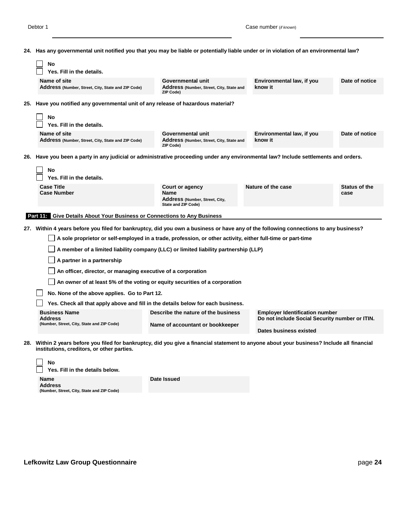**24. Has any governmental unit notified you that you may be liable or potentially liable under or in violation of an environmental law?**

|     | No<br><b>Yes. Fill in the details.</b>                                                                                               |                                                                                                             |                                                                          |                                       |                              |  |  |  |
|-----|--------------------------------------------------------------------------------------------------------------------------------------|-------------------------------------------------------------------------------------------------------------|--------------------------------------------------------------------------|---------------------------------------|------------------------------|--|--|--|
|     | Name of site<br>Address (Number, Street, City, State and ZIP Code)                                                                   | Governmental unit<br>Address (Number, Street, City, State and<br><b>ZIP Code)</b>                           | know it                                                                  | Environmental law, if you             | Date of notice               |  |  |  |
| 25. | Have you notified any governmental unit of any release of hazardous material?                                                        |                                                                                                             |                                                                          |                                       |                              |  |  |  |
|     | <b>No</b><br>Yes. Fill in the details.                                                                                               |                                                                                                             |                                                                          |                                       |                              |  |  |  |
|     | Name of site<br>Address (Number, Street, City, State and ZIP Code)                                                                   | Governmental unit<br>Address (Number, Street, City, State and<br><b>ZIP Code)</b>                           | know it                                                                  | Environmental law, if you             | Date of notice               |  |  |  |
| 26. | Have you been a party in any judicial or administrative proceeding under any environmental law? Include settlements and orders.      |                                                                                                             |                                                                          |                                       |                              |  |  |  |
|     | No<br>Yes. Fill in the details.                                                                                                      |                                                                                                             |                                                                          |                                       |                              |  |  |  |
|     | <b>Case Title</b><br><b>Case Number</b>                                                                                              | Court or agency<br><b>Name</b><br>Address (Number, Street, City,<br>State and ZIP Code)                     | Nature of the case                                                       |                                       | <b>Status of the</b><br>case |  |  |  |
|     | <b>Part 11:</b> Give Details About Your Business or Connections to Any Business                                                      |                                                                                                             |                                                                          |                                       |                              |  |  |  |
|     | 27. Within 4 years before you filed for bankruptcy, did you own a business or have any of the following connections to any business? | A sole proprietor or self-employed in a trade, profession, or other activity, either full-time or part-time |                                                                          |                                       |                              |  |  |  |
|     | A member of a limited liability company (LLC) or limited liability partnership (LLP)                                                 |                                                                                                             |                                                                          |                                       |                              |  |  |  |
|     | A partner in a partnership                                                                                                           |                                                                                                             |                                                                          |                                       |                              |  |  |  |
|     | An officer, director, or managing executive of a corporation                                                                         |                                                                                                             |                                                                          |                                       |                              |  |  |  |
|     | An owner of at least 5% of the voting or equity securities of a corporation                                                          |                                                                                                             |                                                                          |                                       |                              |  |  |  |
|     | No. None of the above applies. Go to Part 12.<br>Yes. Check all that apply above and fill in the details below for each business.    |                                                                                                             |                                                                          |                                       |                              |  |  |  |
|     | <b>Business Name</b>                                                                                                                 | Describe the nature of the business                                                                         |                                                                          | <b>Employer Identification number</b> |                              |  |  |  |
|     | <b>Address</b><br>(Number, Street, City, State and ZIP Code)                                                                         | Name of accountant or bookkeeper                                                                            | Do not include Social Security number or ITIN.<br>Dates business existed |                                       |                              |  |  |  |
|     |                                                                                                                                      |                                                                                                             |                                                                          |                                       |                              |  |  |  |

**28. Within 2 years before you filed for bankruptcy, did you give a financial statement to anyone about your business? Include all financial institutions, creditors, or other parties.**

| No<br>Yes. Fill in the details below.                                |             |
|----------------------------------------------------------------------|-------------|
| Name<br><b>Address</b><br>(Number, Street, City, State and ZIP Code) | Date Issued |